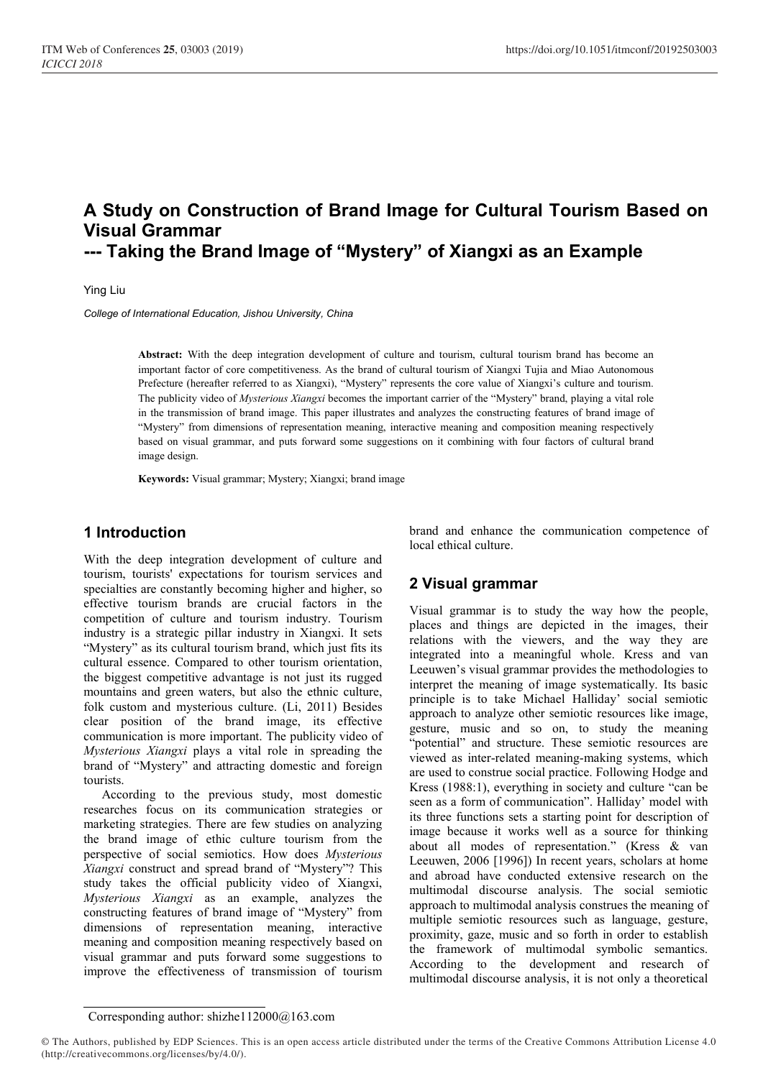# A Study on Construction of Brand Image for Cultural Tourism Based on Visual Grammar --- Taking the Brand Image of "Mystery" of Xiangxi as an Example

Ying Liu

College of International Education, Jishou University, China

Abstract: With the deep integration development of culture and tourism, cultural tourism brand has become an important factor of core competitiveness. As the brand of cultural tourism of Xiangxi Tujia and Miao Autonomous Prefecture (hereafter referred to as Xiangxi), "Mystery" represents the core value of Xiangxi's culture and tourism. The publicity video of Mysterious Xiangxi becomes the important carrier of the "Mystery" brand, playing a vital role in the transmission of brand image. This paper illustrates and analyzes the constructing features of brand image of "Mystery" from dimensions of representation meaning, interactive meaning and composition meaning respectively based on visual grammar, and puts forward some suggestions on it combining with four factors of cultural brand image design.

Keywords: Visual grammar; Mystery; Xiangxi; brand image

### 1 Introduction

With the deep integration development of culture and tourism, tourists' expectations for tourism services and specialties are constantly becoming higher and higher, so effective tourism brands are crucial factors in the competition of culture and tourism industry. Tourism industry is a strategic pillar industry in Xiangxi. It sets "Mystery" as its cultural tourism brand, which just fits its cultural essence. Compared to other tourism orientation, the biggest competitive advantage is not just its rugged mountains and green waters, but also the ethnic culture, folk custom and mysterious culture. (Li, 2011) Besides clear position of the brand image, its effective communication is more important. The publicity video of Mysterious Xiangxi plays a vital role in spreading the brand of "Mystery" and attracting domestic and foreign tourists.

According to the previous study, most domestic researches focus on its communication strategies or marketing strategies. There are few studies on analyzing the brand image of ethic culture tourism from the perspective of social semiotics. How does Mysterious Xiangxi construct and spread brand of "Mystery"? This study takes the official publicity video of Xiangxi, Mysterious Xiangxi as an example, analyzes the constructing features of brand image of "Mystery" from dimensions of representation meaning, interactive meaning and composition meaning respectively based on visual grammar and puts forward some suggestions to improve the effectiveness of transmission of tourism

brand and enhance the communication competence of local ethical culture.

# 2 Visual grammar

Visual grammar is to study the way how the people, places and things are depicted in the images, their relations with the viewers, and the way they are integrated into a meaningful whole. Kress and van Leeuwen's visual grammar provides the methodologies to interpret the meaning of image systematically. Its basic principle is to take Michael Halliday' social semiotic approach to analyze other semiotic resources like image, gesture, music and so on, to study the meaning "potential" and structure. These semiotic resources are viewed as inter-related meaning-making systems, which are used to construe social practice. Following Hodge and Kress (1988:1), everything in society and culture "can be seen as a form of communication". Halliday' model with its three functions sets a starting point for description of image because it works well as a source for thinking about all modes of representation." (Kress & van Leeuwen, 2006 [1996]) In recent years, scholars at home and abroad have conducted extensive research on the multimodal discourse analysis. The social semiotic approach to multimodal analysis construes the meaning of multiple semiotic resources such as language, gesture, proximity, gaze, music and so forth in order to establish the framework of multimodal symbolic semantics. According to the development and research of multimodal discourse analysis, it is not only a theoretical

#### Corresponding author: shizhe112000@163.com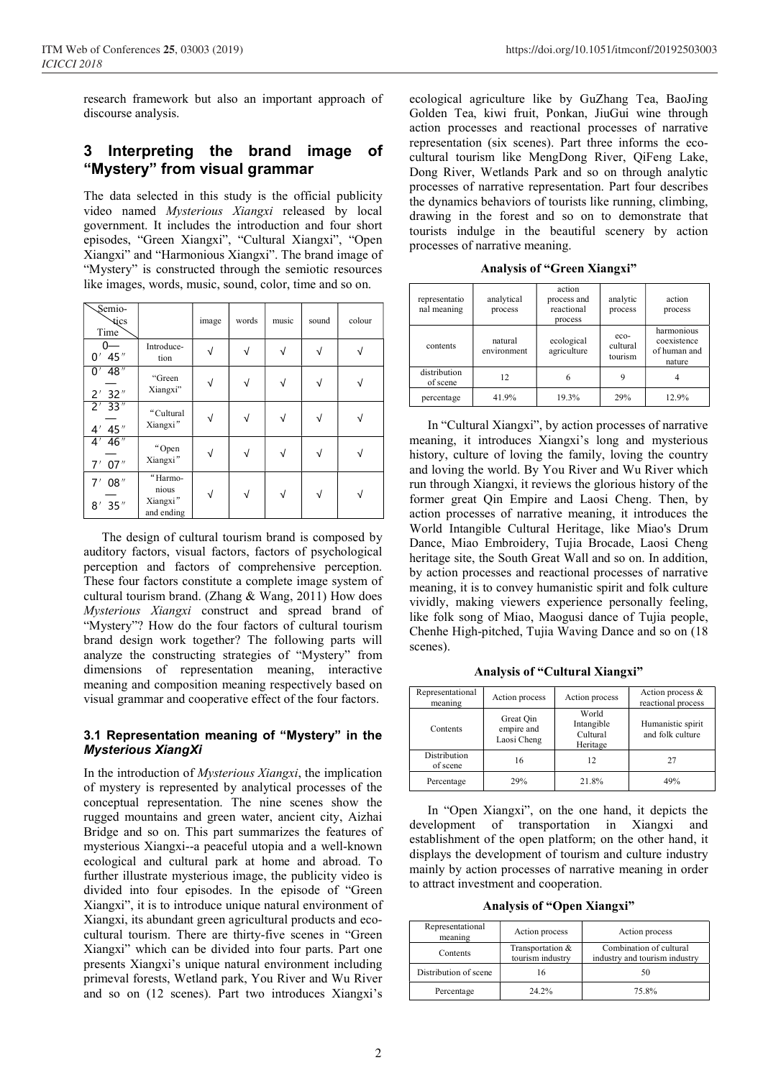research framework but also an important approach of discourse analysis.

# 3 Interpreting the brand image of "Mystery" from visual grammar

The data selected in this study is the official publicity video named Mysterious Xiangxi released by local government. It includes the introduction and four short episodes, "Green Xiangxi", "Cultural Xiangxi", "Open Xiangxi" and "Harmonious Xiangxi". The brand image of "Mystery" is constructed through the semiotic resources like images, words, music, sound, color, time and so on.

| Semio-<br>dics<br>Time |                                            | image     | words     | music     | sound      | colour |
|------------------------|--------------------------------------------|-----------|-----------|-----------|------------|--------|
| 45"<br>0'              | Introduce-<br>tion                         | $\sqrt{}$ | $\sqrt{}$ | $\sqrt{}$ | $\sqrt{ }$ |        |
| 48"<br>0'<br>2' 32''   | "Green<br>Xiangxi"                         | $\sqrt{}$ | ν         | $\sqrt{}$ | V          |        |
| $2'$ 33"<br>4' 45''    | "Cultural<br>Xiangxi"                      | $\sqrt{}$ |           | √         | √          |        |
| $4'$ 46"<br>7' 07''    | "Open<br>Xiangxi"                          | √         |           |           |            |        |
| 08"<br>7'<br>$8'$ 35"  | "Harmo-<br>nious<br>Xiangxi"<br>and ending | $\sqrt{}$ | $\sqrt{}$ | $\sqrt{}$ | $\sqrt{}$  |        |

The design of cultural tourism brand is composed by auditory factors, visual factors, factors of psychological perception and factors of comprehensive perception. These four factors constitute a complete image system of cultural tourism brand. (Zhang & Wang, 2011) How does Mysterious Xiangxi construct and spread brand of "Mystery"? How do the four factors of cultural tourism brand design work together? The following parts will analyze the constructing strategies of "Mystery" from dimensions of representation meaning, interactive meaning and composition meaning respectively based on visual grammar and cooperative effect of the four factors.

#### 3.1 Representation meaning of "Mystery" in the Mysterious XiangXi

In the introduction of Mysterious Xiangxi, the implication of mystery is represented by analytical processes of the conceptual representation. The nine scenes show the rugged mountains and green water, ancient city, Aizhai Bridge and so on. This part summarizes the features of mysterious Xiangxi--a peaceful utopia and a well-known ecological and cultural park at home and abroad. To further illustrate mysterious image, the publicity video is divided into four episodes. In the episode of "Green Xiangxi", it is to introduce unique natural environment of Xiangxi, its abundant green agricultural products and ecocultural tourism. There are thirty-five scenes in "Green Xiangxi" which can be divided into four parts. Part one presents Xiangxi's unique natural environment including primeval forests, Wetland park, You River and Wu River and so on (12 scenes). Part two introduces Xiangxi's

ecological agriculture like by GuZhang Tea, BaoJing Golden Tea, kiwi fruit, Ponkan, JiuGui wine through action processes and reactional processes of narrative representation (six scenes). Part three informs the ecocultural tourism like MengDong River, QiFeng Lake, Dong River, Wetlands Park and so on through analytic processes of narrative representation. Part four describes the dynamics behaviors of tourists like running, climbing, drawing in the forest and so on to demonstrate that tourists indulge in the beautiful scenery by action processes of narrative meaning.

|  |  |  |  | <b>Analysis of "Green Xiangxi"</b> |
|--|--|--|--|------------------------------------|
|--|--|--|--|------------------------------------|

| representatio<br>nal meaning | analytical<br>process  | action<br>process and<br>reactional<br>process | analytic<br>process           | action<br>process                                   |
|------------------------------|------------------------|------------------------------------------------|-------------------------------|-----------------------------------------------------|
| contents                     | natural<br>environment | ecological<br>agriculture                      | $eco-$<br>cultural<br>tourism | harmonious<br>coexistence<br>of human and<br>nature |
| distribution<br>of scene     | 12                     | n                                              | 9                             |                                                     |
| percentage                   | 41.9%                  | 19.3%                                          | 29%                           | 12.9%                                               |

In "Cultural Xiangxi", by action processes of narrative meaning, it introduces Xiangxi's long and mysterious history, culture of loving the family, loving the country and loving the world. By You River and Wu River which run through Xiangxi, it reviews the glorious history of the former great Qin Empire and Laosi Cheng. Then, by action processes of narrative meaning, it introduces the World Intangible Cultural Heritage, like Miao's Drum Dance, Miao Embroidery, Tujia Brocade, Laosi Cheng heritage site, the South Great Wall and so on. In addition, by action processes and reactional processes of narrative meaning, it is to convey humanistic spirit and folk culture vividly, making viewers experience personally feeling, like folk song of Miao, Maogusi dance of Tujia people, Chenhe High-pitched, Tujia Waving Dance and so on (18 scenes).

Analysis of "Cultural Xiangxi"

| Representational<br>meaning     | Action process                         | Action process                              | Action process &<br>reactional process |
|---------------------------------|----------------------------------------|---------------------------------------------|----------------------------------------|
| Contents                        | Great Oin<br>empire and<br>Laosi Cheng | World<br>Intangible<br>Cultural<br>Heritage | Humanistic spirit<br>and folk culture  |
| <b>Distribution</b><br>of scene | 16                                     | 12                                          | 27                                     |
| Percentage                      | 29%                                    | 21.8%                                       | 49%                                    |

In "Open Xiangxi", on the one hand, it depicts the development of transportation in Xiangxi and establishment of the open platform; on the other hand, it displays the development of tourism and culture industry mainly by action processes of narrative meaning in order to attract investment and cooperation.

Analysis of "Open Xiangxi"

| Representational<br>meaning | Action process                       | Action process                                           |  |
|-----------------------------|--------------------------------------|----------------------------------------------------------|--|
| Contents                    | Transportation &<br>tourism industry | Combination of cultural<br>industry and tourism industry |  |
| Distribution of scene       |                                      | 50                                                       |  |
| Percentage                  | 24.2%                                | 75.8%                                                    |  |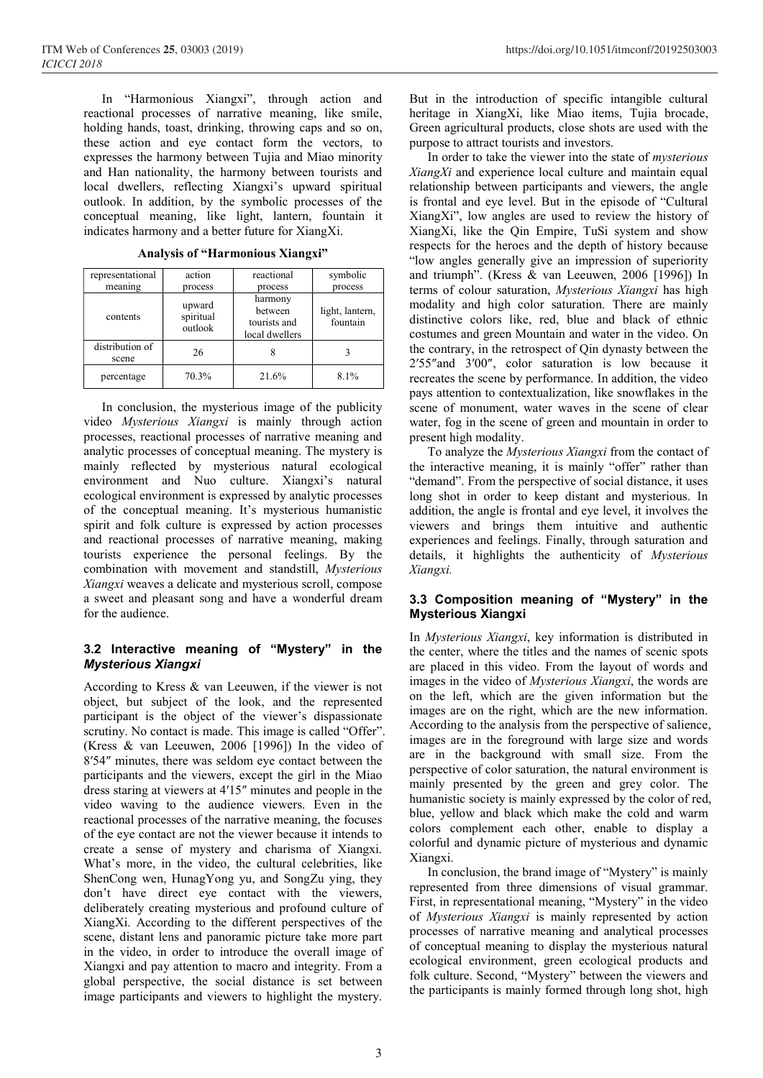In "Harmonious Xiangxi", through action and reactional processes of narrative meaning, like smile, holding hands, toast, drinking, throwing caps and so on, these action and eye contact form the vectors, to expresses the harmony between Tujia and Miao minority and Han nationality, the harmony between tourists and local dwellers, reflecting Xiangxi's upward spiritual outlook. In addition, by the symbolic processes of the conceptual meaning, like light, lantern, fountain it indicates harmony and a better future for XiangXi.

| representational         | action                         | reactional                                           | symbolic                    |
|--------------------------|--------------------------------|------------------------------------------------------|-----------------------------|
| meaning                  | process                        | process                                              | process                     |
| contents                 | upward<br>spiritual<br>outlook | harmony<br>between<br>tourists and<br>local dwellers | light, lantern,<br>fountain |
| distribution of<br>scene | 26                             |                                                      |                             |
| percentage               | 70.3%                          | 21.6%                                                | 8.1%                        |

Analysis of "Harmonious Xiangxi"

In conclusion, the mysterious image of the publicity video Mysterious Xiangxi is mainly through action processes, reactional processes of narrative meaning and analytic processes of conceptual meaning. The mystery is mainly reflected by mysterious natural ecological environment and Nuo culture. Xiangxi's natural ecological environment is expressed by analytic processes of the conceptual meaning. It's mysterious humanistic spirit and folk culture is expressed by action processes and reactional processes of narrative meaning, making tourists experience the personal feelings. By the combination with movement and standstill, Mysterious Xiangxi weaves a delicate and mysterious scroll, compose a sweet and pleasant song and have a wonderful dream for the audience.

### 3.2 Interactive meaning of "Mystery" in the Mysterious Xiangxi

According to Kress & van Leeuwen, if the viewer is not object, but subject of the look, and the represented participant is the object of the viewer's dispassionate scrutiny. No contact is made. This image is called "Offer". (Kress & van Leeuwen, 2006 [1996]) In the video of 8′54″ minutes, there was seldom eye contact between the participants and the viewers, except the girl in the Miao dress staring at viewers at 4′15″ minutes and people in the video waving to the audience viewers. Even in the reactional processes of the narrative meaning, the focuses of the eye contact are not the viewer because it intends to create a sense of mystery and charisma of Xiangxi. What's more, in the video, the cultural celebrities, like ShenCong wen, HunagYong yu, and SongZu ying, they don't have direct eye contact with the viewers, deliberately creating mysterious and profound culture of XiangXi. According to the different perspectives of the scene, distant lens and panoramic picture take more part in the video, in order to introduce the overall image of Xiangxi and pay attention to macro and integrity. From a global perspective, the social distance is set between image participants and viewers to highlight the mystery.

But in the introduction of specific intangible cultural heritage in XiangXi, like Miao items, Tujia brocade, Green agricultural products, close shots are used with the purpose to attract tourists and investors.

In order to take the viewer into the state of mysterious  $XiangXi$  and experience local culture and maintain equal relationship between participants and viewers, the angle is frontal and eye level. But in the episode of "Cultural XiangXi", low angles are used to review the history of XiangXi, like the Qin Empire, TuSi system and show respects for the heroes and the depth of history because "low angles generally give an impression of superiority and triumph". (Kress & van Leeuwen, 2006 [1996]) In terms of colour saturation, Mysterious Xiangxi has high modality and high color saturation. There are mainly distinctive colors like, red, blue and black of ethnic costumes and green Mountain and water in the video. On the contrary, in the retrospect of Qin dynasty between the 2′55″and 3′00″, color saturation is low because it recreates the scene by performance. In addition, the video pays attention to contextualization, like snowflakes in the scene of monument, water waves in the scene of clear water, fog in the scene of green and mountain in order to present high modality.

To analyze the Mysterious Xiangxi from the contact of the interactive meaning, it is mainly "offer" rather than "demand". From the perspective of social distance, it uses long shot in order to keep distant and mysterious. In addition, the angle is frontal and eye level, it involves the viewers and brings them intuitive and authentic experiences and feelings. Finally, through saturation and details, it highlights the authenticity of Mysterious Xiangxi.

### 3.3 Composition meaning of "Mystery" in the Mysterious Xiangxi

In Mysterious Xiangxi, key information is distributed in the center, where the titles and the names of scenic spots are placed in this video. From the layout of words and images in the video of Mysterious Xiangxi, the words are on the left, which are the given information but the images are on the right, which are the new information. According to the analysis from the perspective of salience, images are in the foreground with large size and words are in the background with small size. From the perspective of color saturation, the natural environment is mainly presented by the green and grey color. The humanistic society is mainly expressed by the color of red, blue, yellow and black which make the cold and warm colors complement each other, enable to display a colorful and dynamic picture of mysterious and dynamic Xiangxi.

In conclusion, the brand image of "Mystery" is mainly represented from three dimensions of visual grammar. First, in representational meaning, "Mystery" in the video of Mysterious Xiangxi is mainly represented by action processes of narrative meaning and analytical processes of conceptual meaning to display the mysterious natural ecological environment, green ecological products and folk culture. Second, "Mystery" between the viewers and the participants is mainly formed through long shot, high